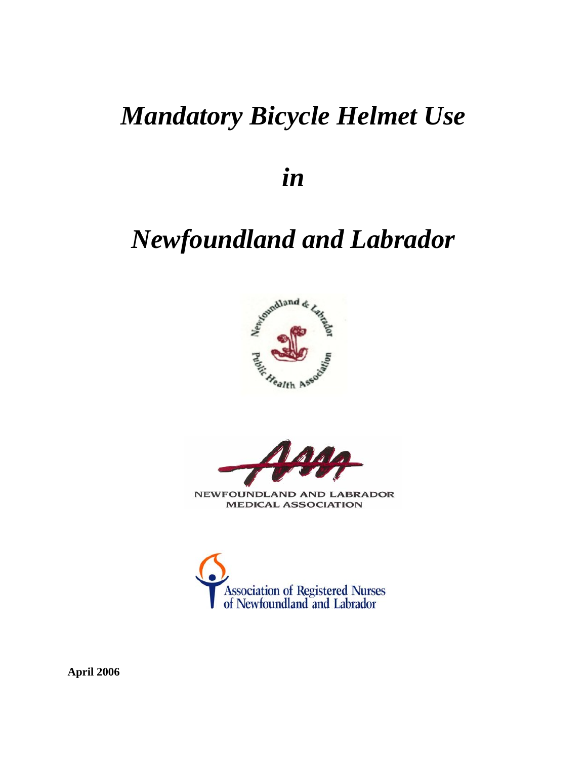# *Mandatory Bicycle Helmet Use*

*in* 

# *Newfoundland and Labrador*





**NEWFOUNDLAND AND LABRADOR MEDICAL ASSOCIATION** 



**April 2006**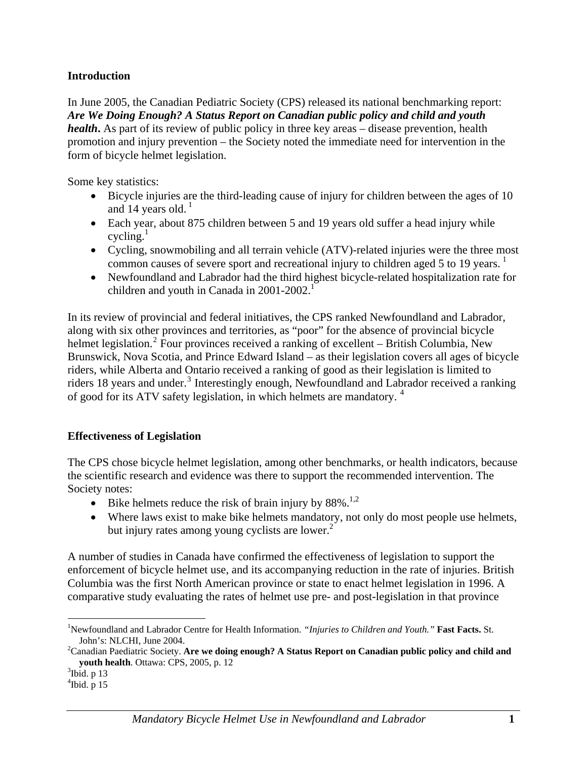#### **Introduction**

In June 2005, the Canadian Pediatric Society (CPS) released its national benchmarking report: *Are We Doing Enough? A Status Report on Canadian public policy and child and youth health***.** As part of its review of public policy in three key areas – disease prevention, health promotion and injury prevention – the Society noted the immediate need for intervention in the form of bicycle helmet legislation.

Some key statistics:

- Bicycle injuries are the third-leading cause of injury for children between the ages of 10 and 14 years old. $<sup>1</sup>$ </sup>
- Each year, about 875 children between 5 and 19 years old suffer a head injury while cycling. $<sup>1</sup>$ </sup>
- Cycling, snowmobiling and all terrain vehicle (ATV)-related injuries were the three most common causes of severe sport and recreational injury to children aged 5 to [1](#page-1-0)9 years.<sup>1</sup>
- Newfoundland and Labrador had the third highest bicycle-related hospitalization rate for children and youth in Canada in  $2001-2002$ <sup>1</sup>

In its review of provincial and federal initiatives, the CPS ranked Newfoundland and Labrador, along with six other provinces and territories, as "poor" for the absence of provincial bicycle helmet legislation.<sup>[2](#page-1-1)</sup> Four provinces received a ranking of excellent – British Columbia, New Brunswick, Nova Scotia, and Prince Edward Island – as their legislation covers all ages of bicycle riders, while Alberta and Ontario received a ranking of good as their legislation is limited to riders 18 years and under.<sup>[3](#page-1-2)</sup> Interestingly enough, Newfoundland and Labrador received a ranking of good for its ATV safety legislation, in which helmets are mandatory.<sup>[4](#page-1-3)</sup>

## **Effectiveness of Legislation**

The CPS chose bicycle helmet legislation, among other benchmarks, or health indicators, because the scientific research and evidence was there to support the recommended intervention. The Society notes:

- Bike helmets reduce the risk of brain injury by  $88\%$ .<sup>1,2</sup>
- Where laws exist to make bike helmets mandatory, not only do most people use helmets, but injury rates among young cyclists are lower. $<sup>2</sup>$ </sup>

A number of studies in Canada have confirmed the effectiveness of legislation to support the enforcement of bicycle helmet use, and its accompanying reduction in the rate of injuries. British Columbia was the first North American province or state to enact helmet legislation in 1996. A comparative study evaluating the rates of helmet use pre- and post-legislation in that province

<span id="page-1-0"></span> $\overline{a}$ 1 Newfoundland and Labrador Centre for Health Information. *"Injuries to Children and Youth."* **Fast Facts.** St. John's: NLCHI, June 2004.

<span id="page-1-1"></span>Canadian Paediatric Society. **Are we doing enough? A Status Report on Canadian public policy and child and youth health**. Ottawa: CPS, 2005, p. 12

<span id="page-1-3"></span><span id="page-1-2"></span> $3$ Ibid. p 13

 $4$ Ibid. p 15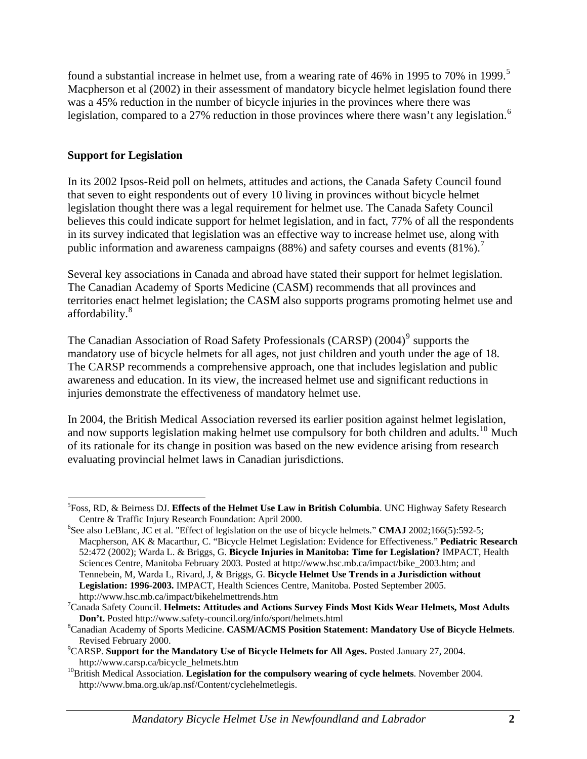found a substantial increase in helmet use, from a wearing rate of 46% in 199[5](#page-2-0) to 70% in 1999.<sup>5</sup> Macpherson et al (2002) in their assessment of mandatory bicycle helmet legislation found there was a 45% reduction in the number of bicycle injuries in the provinces where there was legislation, compared to a 27% reduction in those provinces where there wasn't any legislation.<sup>[6](#page-2-1)</sup>

### **Support for Legislation**

 $\overline{a}$ 

In its 2002 Ipsos-Reid poll on helmets, attitudes and actions, the Canada Safety Council found that seven to eight respondents out of every 10 living in provinces without bicycle helmet legislation thought there was a legal requirement for helmet use. The Canada Safety Council believes this could indicate support for helmet legislation, and in fact, 77% of all the respondents in its survey indicated that legislation was an effective way to increase helmet use, along with public information and awareness campaigns (88%) and safety courses and events  $(81\%)$ .<sup>[7](#page-2-2)</sup>

Several key associations in Canada and abroad have stated their support for helmet legislation. The Canadian Academy of Sports Medicine (CASM) recommends that all provinces and territories enact helmet legislation; the CASM also supports programs promoting helmet use and affordability.<sup>[8](#page-2-3)</sup>

The Canadian Association of Road Safety Professionals (CARSP) (2004)<sup>[9](#page-2-4)</sup> supports the mandatory use of bicycle helmets for all ages, not just children and youth under the age of 18. The CARSP recommends a comprehensive approach, one that includes legislation and public awareness and education. In its view, the increased helmet use and significant reductions in injuries demonstrate the effectiveness of mandatory helmet use.

In 2004, the British Medical Association reversed its earlier position against helmet legislation, and now supports legislation making helmet use compulsory for both children and adults.<sup>[10](#page-2-5)</sup> Much of its rationale for its change in position was based on the new evidence arising from research evaluating provincial helmet laws in Canadian jurisdictions.

<span id="page-2-0"></span><sup>5</sup> Foss, RD, & Beirness DJ. **Effects of the Helmet Use Law in British Columbia**. UNC Highway Safety Research Centre & Traffic Injury Research Foundation: April 2000.

<span id="page-2-1"></span><sup>&</sup>lt;sup>6</sup>See also LeBlanc, JC et al. "Effect of legislation on the use of bicycle helmets." **CMAJ** 2002;166(5):592-5; Macpherson, AK & Macarthur, C. "Bicycle Helmet Legislation: Evidence for Effectiveness." **Pediatric Research** 52:472 (2002); Warda L. & Briggs, G. **Bicycle Injuries in Manitoba: Time for Legislation?** IMPACT, Health Sciences Centre, Manitoba February 2003. Posted at http://www.hsc.mb.ca/impact/bike\_2003.htm; and Tennebein, M, Warda L, Rivard, J, & Briggs, G. **Bicycle Helmet Use Trends in a Jurisdiction without Legislation: 1996-2003.** IMPACT, Health Sciences Centre, Manitoba. Posted September 2005. http://www.hsc.mb.ca/impact/bikehelmettrends.htm 7

<span id="page-2-2"></span>Canada Safety Council. **Helmets: Attitudes and Actions Survey Finds Most Kids Wear Helmets, Most Adults Don't.** Posted http://www.safety-council.org/info/sport/helmets.html 8

<span id="page-2-3"></span>Canadian Academy of Sports Medicine. **CASM/ACMS Position Statement: Mandatory Use of Bicycle Helmets**. Revised February 2000.

<span id="page-2-4"></span>CARSP. **Support for the Mandatory Use of Bicycle Helmets for All Ages.** Posted January 27, 2004.

<span id="page-2-5"></span>http://www.carsp.ca/bicycle\_helmets.htm 10British Medical Association. **Legislation for the compulsory wearing of cycle helmets**. November 2004. http://www.bma.org.uk/ap.nsf/Content/cyclehelmetlegis.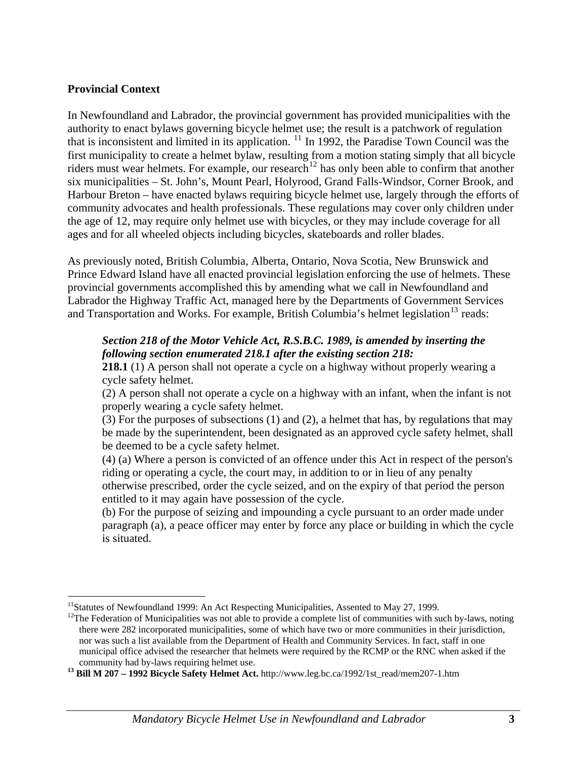#### **Provincial Context**

 $\overline{a}$ 

In Newfoundland and Labrador, the provincial government has provided municipalities with the authority to enact bylaws governing bicycle helmet use; the result is a patchwork of regulation that is inconsistent and limited in its application. [11](#page-3-0) In 1992, the Paradise Town Council was the first municipality to create a helmet bylaw, resulting from a motion stating simply that all bicycle riders must wear helmets. For example, our research<sup>[12](#page-3-1)</sup> has only been able to confirm that another six municipalities – St. John's, Mount Pearl, Holyrood, Grand Falls-Windsor, Corner Brook, and Harbour Breton – have enacted bylaws requiring bicycle helmet use, largely through the efforts of community advocates and health professionals. These regulations may cover only children under the age of 12, may require only helmet use with bicycles, or they may include coverage for all ages and for all wheeled objects including bicycles, skateboards and roller blades.

As previously noted, British Columbia, Alberta, Ontario, Nova Scotia, New Brunswick and Prince Edward Island have all enacted provincial legislation enforcing the use of helmets. These provincial governments accomplished this by amending what we call in Newfoundland and Labrador the Highway Traffic Act, managed here by the Departments of Government Services and Transportation and Works. For example, British Columbia's helmet legislation<sup>[13](#page-3-2)</sup> reads:

#### *Section 218 of the Motor Vehicle Act, R.S.B.C. 1989, is amended by inserting the following section enumerated 218.1 after the existing section 218:*

**218.1** (1) A person shall not operate a cycle on a highway without properly wearing a cycle safety helmet.

(2) A person shall not operate a cycle on a highway with an infant, when the infant is not properly wearing a cycle safety helmet.

(3) For the purposes of subsections (1) and (2), a helmet that has, by regulations that may be made by the superintendent, been designated as an approved cycle safety helmet, shall be deemed to be a cycle safety helmet.

(4) (a) Where a person is convicted of an offence under this Act in respect of the person's riding or operating a cycle, the court may, in addition to or in lieu of any penalty otherwise prescribed, order the cycle seized, and on the expiry of that period the person entitled to it may again have possession of the cycle.

(b) For the purpose of seizing and impounding a cycle pursuant to an order made under paragraph (a), a peace officer may enter by force any place or building in which the cycle is situated.

<span id="page-3-1"></span><span id="page-3-0"></span><sup>&</sup>lt;sup>11</sup>Statutes of Newfoundland 1999: An Act Respecting Municipalities, Assented to May 27, 1999.<br><sup>12</sup>The Federation of Municipalities was not able to provide a complete list of communities with such by-laws, noting there were 282 incorporated municipalities, some of which have two or more communities in their jurisdiction, nor was such a list available from the Department of Health and Community Services. In fact, staff in one municipal office advised the researcher that helmets were required by the RCMP or the RNC when asked if the community had by-laws requiring helmet use.

<span id="page-3-2"></span>**<sup>13</sup> Bill M 207 – 1992 Bicycle Safety Helmet Act.** http://www.leg.bc.ca/1992/1st\_read/mem207-1.htm